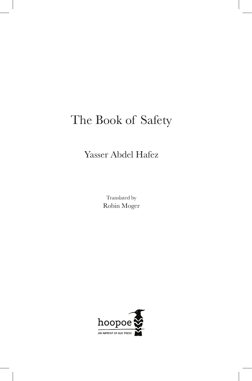## The Book of Safety

## Yasser Abdel Hafez

Translated by Robin Moger

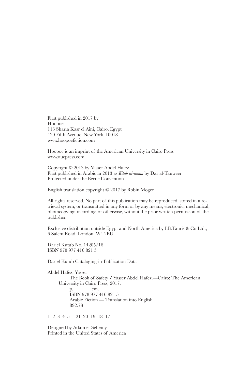First published in 2017 by Hoopoe 113 Sharia Kasr el Aini, Cairo, Egypt 420 Fifth Avenue, New York, 10018 www.hoopoefiction.com

Hoopoe is an imprint of the American University in Cairo Press www.aucpress.com

Copyright © 2013 by Yasser Abdel Hafez First published in Arabic in 2013 as *Kitab al-aman* by Dar al-Tanweer Protected under the Berne Convention

English translation copyright © 2017 by Robin Moger

All rights reserved. No part of this publication may be reproduced, stored in a retrieval system, or transmitted in any form or by any means, electronic, mechanical, photocopying, recording, or otherwise, without the prior written permission of the publisher.

Exclusive distribution outside Egypt and North America by I.B.Tauris & Co Ltd., 6 Salem Road, London, W4 2BU

Dar el Kutub No. 14205/16 ISBN 978 977 416 821 5

Dar el Kutub Cataloging-in-Publication Data

Abdel Hafez, Yasser The Book of Safety / Yasser Abdel Hafez.—Cairo: The American University in Cairo Press, 2017. p. cm. ISBN 978 977 416 821 5 Arabic Fiction — Translation into English 892.73

1 2 3 4 5 21 20 19 18 17

Designed by Adam el-Sehemy Printed in the United States of America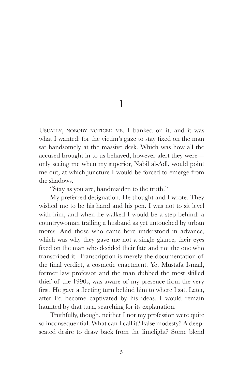1

USUALLY, NOBODY NOTICED ME. I banked on it, and it was what I wanted: for the victim's gaze to stay fixed on the man sat handsomely at the massive desk. Which was how all the accused brought in to us behaved, however alert they were only seeing me when my superior, Nabil al-Adl, would point me out, at which juncture I would be forced to emerge from the shadows.

"Stay as you are, handmaiden to the truth."

My preferred designation. He thought and I wrote. They wished me to be his hand and his pen. I was not to sit level with him, and when he walked I would be a step behind: a countrywoman trailing a husband as yet untouched by urban mores. And those who came here understood in advance, which was why they gave me not a single glance, their eyes fixed on the man who decided their fate and not the one who transcribed it. Transcription is merely the documentation of the final verdict, a cosmetic enactment. Yet Mustafa Ismail, former law professor and the man dubbed the most skilled thief of the 1990s, was aware of my presence from the very first. He gave a fleeting turn behind him to where I sat. Later, after I'd become captivated by his ideas, I would remain haunted by that turn, searching for its explanation.

Truthfully, though, neither I nor my profession were quite so inconsequential. What can I call it? False modesty? A deepseated desire to draw back from the limelight? Some blend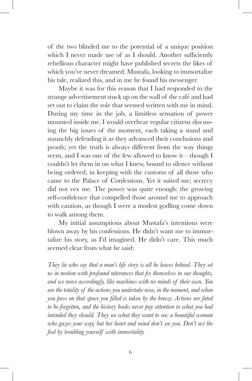of the two blinded me to the potential of a unique position which I never made use of as I should. Another sufficiently rebellious character might have published secrets the likes of which you've never dreamed. Mustafa, looking to immortalize his tale, realized this, and in me he found his messenger.

Maybe it was for this reason that I had responded to the strange advertisement stuck up on the wall of the café and had set out to claim the role that seemed written with me in mind. During my time in the job, a limitless sensation of power mounted inside me. I would overhear regular citizens discussing the big issues of the moment, each taking a stand and staunchly defending it as they advanced their conclusions and proofs; yet the truth is always different from the way things seem, and I was one of the few allowed to know it—though I couldn't let them in on what I knew, bound to silence without being ordered, in keeping with the customs of all those who came to the Palace of Confessions. Yet it suited me; secrecy did not vex me. The power was quite enough: the growing self-confidence that compelled those around me to approach with caution, as though I were a modest godling come down to walk among them.

My initial assumptions about Mustafa's intentions were blown away by his confessions. He didn't want me to immortalize his story, as I'd imagined. He didn't care. This much seemed clear from what he said:

*They lie who say that a man's life story is all he leaves behind. They set us in motion with profound utterances that fix themselves in our thoughts, and we move accordingly, like machines with no minds of their own. You are the totality of the actions you undertake now, in the moment, and when you pass on that space you filled is taken by the breeze. Actions are fated to be forgotten, and the history books never pay attention to what you had intended they should. They see what they want to see: a beautiful woman who gazes your way, but her heart and mind don't see you. Don't act the fool by troubling yourself with immortality.*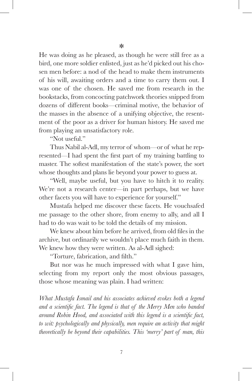He was doing as he pleased, as though he were still free as a bird, one more soldier enlisted, just as he'd picked out his chosen men before: a nod of the head to make them instruments of his will, awaiting orders and a time to carry them out. I was one of the chosen. He saved me from research in the bookstacks, from concocting patchwork theories snipped from dozens of different books—criminal motive, the behavior of the masses in the absence of a unifying objective, the resentment of the poor as a driver for human history. He saved me from playing an unsatisfactory role.

"Not useful."

Thus Nabil al-Adl, my terror of whom—or of what he represented—I had spent the first part of my training battling to master. The softest manifestation of the state's power, the sort whose thoughts and plans lie beyond your power to guess at.

"Well, maybe useful, but you have to hitch it to reality. We're not a research center—in part perhaps, but we have other facets you will have to experience for yourself."

Mustafa helped me discover these facets. He vouchsafed me passage to the other shore, from enemy to ally, and all I had to do was wait to be told the details of my mission.

We knew about him before he arrived, from old files in the archive, but ordinarily we wouldn't place much faith in them. We knew how they were written. As al-Adl sighed:

"Torture, fabrication, and filth."

But nor was he much impressed with what I gave him, selecting from my report only the most obvious passages, those whose meaning was plain. I had written:

*What Mustafa Ismail and his associates achieved evokes both a legend and a scientific fact. The legend is that of the Merry Men who banded around Robin Hood, and associated with this legend is a scientific fact, to wit: psychologically and physically, men require an activity that might theoretically be beyond their capabilities. This 'merry' part of man, this*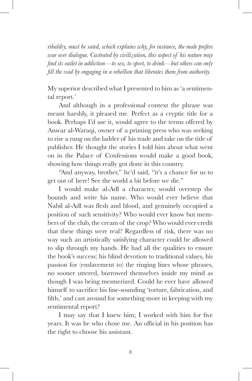*ribaldry, must be sated, which explains why, for instance, the male prefers war over dialogue. Castrated by civilization, this aspect of his nature may find its outlet in addiction—to sex, to sport, to drink—but others can only fill the void by engaging in a rebellion that liberates them from authority.*

My superior described what I presented to him as 'a sentimental report.'

And although in a professional context the phrase was meant harshly, it pleased me. Perfect as a cryptic title for a book. Perhaps I'd use it, would agree to the terms offered by Anwar al-Waraqi, owner of a printing press who was seeking to rise a rung on the ladder of his trade and take on the title of publisher. He thought the stories I told him about what went on in the Palace of Confessions would make a good book, showing how things really got done in this country.

"And anyway, brother," he'd said, "it's a chance for us to get out of here! See the world a bit before we die."

I would make al-Adl a character, would overstep the bounds and write his name. Who would ever believe that Nabil al-Adl was flesh and blood, and genuinely occupied a position of such sensitivity? Who would ever know but members of the club, the cream of the crop? Who would ever credit that these things were real? Regardless of risk, there was no way such an artistically satisfying character could be allowed to slip through my hands. He had all the qualities to ensure the book's success: his blind devotion to traditional values, his passion for (enslavement to) the ringing lines whose phrases, no sooner uttered, burrowed themselves inside my mind as though I was being mesmerized. Could he ever have allowed himself to sacrifice his fine-sounding 'torture, fabrication, and filth,' and cast around for something more in keeping with my sentimental report?

I may say that I knew him; I worked with him for five years. It was he who chose me. An official in his position has the right to choose his assistant.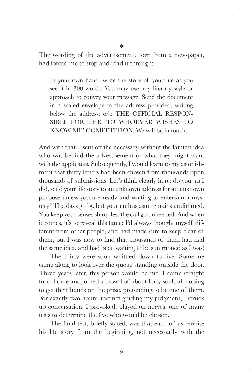\*

The wording of the advertisement, torn from a newspaper, had forced me to stop and read it through:

In your own hand, write the story of your life as you see it in 300 words. You may use any literary style or approach to convey your message. Send the document in a sealed envelope to the address provided, writing below the address: c/o THE OFFICIAL RESPON-SIBLE FOR THE 'TO WHOEVER WISHES TO KNOW ME' COMPETITION. We will be in touch.

And with that, I sent off the necessary, without the faintest idea who was behind the advertisement or what they might want with the applicants. Subsequently, I would learn to my astonishment that thirty letters had been chosen from thousands upon thousands of submissions. Let's think clearly here: do you, as I did, send your life story to an unknown address for an unknown purpose unless you are ready and waiting to entertain a mystery? The days go by, but your enthusiasm remains undimmed. You keep your senses sharp lest the call go unheeded. And when it comes, it's to reveal this farce: I'd always thought myself different from other people, and had made sure to keep clear of them, but I was now to find that thousands of them had had the same idea, and had been waiting to be summoned as I was!

The thirty were soon whittled down to five. Someone came along to look over the queue standing outside the door. Three years later, this person would be me. I came straight from home and joined a crowd of about forty souls all hoping to get their hands on the prize, pretending to be one of them. For exactly two hours, instinct guiding my judgment, I struck up conversation. I provoked, played on nerves: one of many tests to determine the five who would be chosen.

The final test, briefly stated, was that each of us rewrite his life story from the beginning, not necessarily with the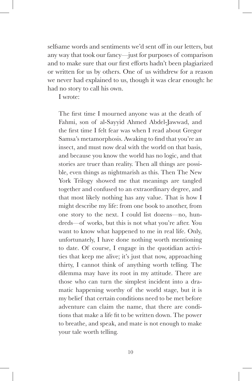selfsame words and sentiments we'd sent off in our letters, but any way that took our fancy—just for purposes of comparison and to make sure that our first efforts hadn't been plagiarized or written for us by others. One of us withdrew for a reason we never had explained to us, though it was clear enough: he had no story to call his own.

I wrote:

The first time I mourned anyone was at the death of Fahmi, son of al-Sayyid Ahmed Abdel-Jawwad, and the first time I felt fear was when I read about Gregor Samsa's metamorphosis. Awaking to find that you're an insect, and must now deal with the world on that basis, and because you know the world has no logic, and that stories are truer than reality. Then all things are possible, even things as nightmarish as this. Then The New York Trilogy showed me that meanings are tangled together and confused to an extraordinary degree, and that most likely nothing has any value. That is how I might describe my life: from one book to another, from one story to the next. I could list dozens—no, hundreds—of works, but this is not what you're after. You want to know what happened to me in real life. Only, unfortunately, I have done nothing worth mentioning to date. Of course, I engage in the quotidian activities that keep me alive; it's just that now, approaching thirty, I cannot think of anything worth telling. The dilemma may have its root in my attitude. There are those who can turn the simplest incident into a dramatic happening worthy of the world stage, but it is my belief that certain conditions need to be met before adventure can claim the name, that there are conditions that make a life fit to be written down. The power to breathe, and speak, and mate is not enough to make your tale worth telling.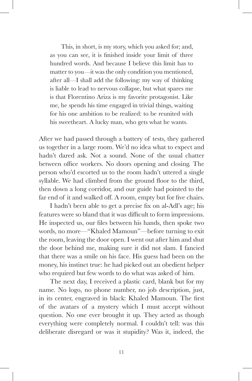This, in short, is my story, which you asked for; and, as you can see, it is finished inside your limit of three hundred words. And because I believe this limit has to matter to you—it was the only condition you mentioned, after all—I shall add the following: my way of thinking is liable to lead to nervous collapse, but what spares me is that Florentino Ariza is my favorite protagonist. Like me, he spends his time engaged in trivial things, waiting for his one ambition to be realized: to be reunited with his sweetheart. A lucky man, who gets what he wants.

After we had passed through a battery of tests, they gathered us together in a large room. We'd no idea what to expect and hadn't dared ask. Not a sound. None of the usual chatter between office workers. No doors opening and closing. The person who'd escorted us to the room hadn't uttered a single syllable. We had climbed from the ground floor to the third, then down a long corridor, and our guide had pointed to the far end of it and walked off. A room, empty but for five chairs.

I hadn't been able to get a precise fix on al-Adl's age; his features were so bland that it was difficult to form impressions. He inspected us, our files between his hands, then spoke two words, no more—"Khaled Mamoun"—before turning to exit the room, leaving the door open. I went out after him and shut the door behind me, making sure it did not slam. I fancied that there was a smile on his face. His guess had been on the money, his instinct true: he had picked out an obedient helper who required but few words to do what was asked of him.

The next day, I received a plastic card, blank but for my name. No logo, no phone number, no job description, just, in its center, engraved in black: Khaled Mamoun. The first of the avatars of a mystery which I must accept without question. No one ever brought it up. They acted as though everything were completely normal. I couldn't tell: was this deliberate disregard or was it stupidity? Was it, indeed, the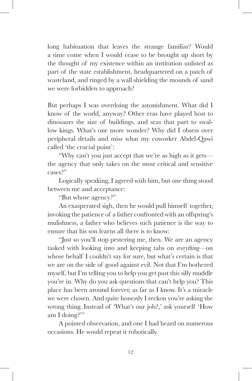long habituation that leaves the strange familiar? Would a time come when I would cease to be brought up short by the thought of my existence within an institution unlisted as part of the state establishment, headquartered on a patch of wasteland, and ringed by a wall shielding the mounds of sand we were forbidden to approach?

But perhaps I was overdoing the astonishment. What did I know of the world, anyway? Other eras have played host to dinosaurs the size of buildings, and seas that part to swallow kings. What's one more wonder? Why did I obsess over peripheral details and miss what my coworker Abdel-Qawi called 'the crucial point':

"Why can't you just accept that we're as high as it gets the agency that only takes on the most critical and sensitive cases?"

Logically speaking, I agreed with him, but one thing stood between me and acceptance:

"But whose agency?"

An exasperated sigh, then he would pull himself together, invoking the patience of a father confronted with an offspring's mulishness, a father who believes such patience is the way to ensure that his son learns all there is to know:

"Just so you'll stop pestering me, then. We are an agency tasked with looking into and keeping tabs on *everything*—on whose behalf I couldn't say for sure, but what's certain is that we are on the side of good against evil. Not that I'm bothered myself, but I'm telling you to help you get past this silly muddle you're in. Why do you ask questions that can't help you? This place has been around forever, as far as I know. It's a miracle we were chosen. And quite honestly I reckon you're asking the wrong thing. Instead of 'What's our job?,' ask yourself 'How am I doing?"

A pointed observation, and one I had heard on numerous occasions. He would repeat it robotically.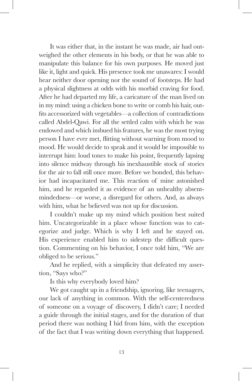It was either that, in the instant he was made, air had outweighed the other elements in his body, or that he was able to manipulate this balance for his own purposes. He moved just like it, light and quick. His presence took me unawares: I would hear neither door opening nor the sound of footsteps. He had a physical slightness at odds with his morbid craving for food. After he had departed my life, a caricature of the man lived on in my mind: using a chicken bone to write or comb his hair, outfits accessorized with vegetables—a collection of contradictions called Abdel-Qawi. For all the settled calm with which he was endowed and which imbued his features, he was the most trying person I have ever met, flitting without warning from mood to mood. He would decide to speak and it would be impossible to interrupt him: loud tones to make his point, frequently lapsing into silence midway through his inexhaustible stock of stories for the air to fall still once more. Before we bonded, this behavior had incapacitated me. This reaction of mine astonished him, and he regarded it as evidence of an unhealthy absentmindedness—or worse, a disregard for others. And, as always with him, what he believed was not up for discussion.

I couldn't make up my mind which position best suited him. Uncategorizable in a place whose function was to categorize and judge. Which is why I left and he stayed on. His experience enabled him to sidestep the difficult question. Commenting on his behavior, I once told him, "We are obliged to be serious."

And he replied, with a simplicity that defeated my assertion, "Says who?"

Is this why everybody loved him?

We got caught up in a friendship, ignoring, like teenagers, our lack of anything in common. With the self-centeredness of someone on a voyage of discovery, I didn't care; I needed a guide through the initial stages, and for the duration of that period there was nothing I hid from him, with the exception of the fact that I was writing down everything that happened.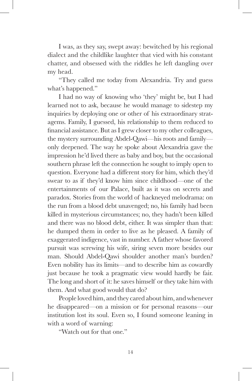I was, as they say, swept away: bewitched by his regional dialect and the childlike laughter that vied with his constant chatter, and obsessed with the riddles he left dangling over my head.

"They called me today from Alexandria. Try and guess what's happened."

I had no way of knowing who 'they' might be, but I had learned not to ask, because he would manage to sidestep my inquiries by deploying one or other of his extraordinary stratagems. Family, I guessed, his relationship to them reduced to financial assistance. But as I grew closer to my other colleagues, the mystery surrounding Abdel-Qawi—his roots and family only deepened. The way he spoke about Alexandria gave the impression he'd lived there as baby and boy, but the occasional southern phrase left the connection he sought to imply open to question. Everyone had a different story for him, which they'd swear to as if they'd know him since childhood—one of the entertainments of our Palace, built as it was on secrets and paradox. Stories from the world of hackneyed melodrama: on the run from a blood debt unavenged; no, his family had been killed in mysterious circumstances; no, they hadn't been killed and there was no blood debt, either. It was simpler than that: he dumped them in order to live as he pleased. A family of exaggerated indigence, vast in number. A father whose favored pursuit was screwing his wife, siring seven more besides our man. Should Abdel-Qawi shoulder another man's burden? Even nobility has its limits—and to describe him as cowardly just because he took a pragmatic view would hardly be fair. The long and short of it: he saves himself or they take him with them. And what good would that do?

People loved him, and they cared about him, and whenever he disappeared—on a mission or for personal reasons—our institution lost its soul. Even so, I found someone leaning in with a word of warning:

"Watch out for that one."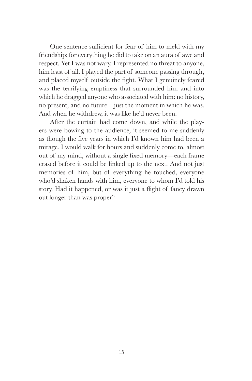One sentence sufficient for fear of him to meld with my friendship; for everything he did to take on an aura of awe and respect. Yet I was not wary. I represented no threat to anyone, him least of all. I played the part of someone passing through, and placed myself outside the fight. What I genuinely feared was the terrifying emptiness that surrounded him and into which he dragged anyone who associated with him: no history, no present, and no future—just the moment in which he was. And when he withdrew, it was like he'd never been.

After the curtain had come down, and while the players were bowing to the audience, it seemed to me suddenly as though the five years in which I'd known him had been a mirage. I would walk for hours and suddenly come to, almost out of my mind, without a single fixed memory—each frame erased before it could be linked up to the next. And not just memories of him, but of everything he touched, everyone who'd shaken hands with him, everyone to whom I'd told his story. Had it happened, or was it just a flight of fancy drawn out longer than was proper?